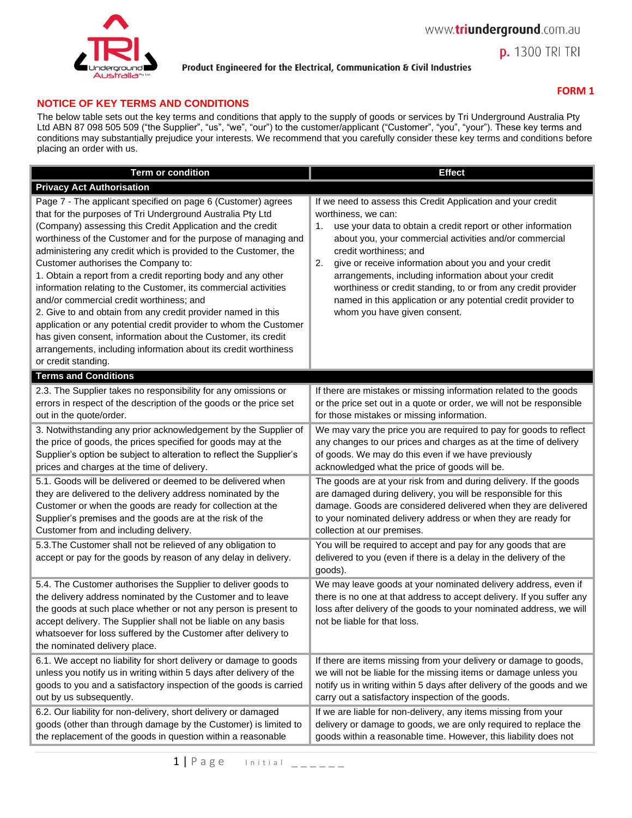

# **FORM 1**

**p.** 1300 TRI TRI

# **NOTICE OF KEY TERMS AND CONDITIONS**

The below table sets out the key terms and conditions that apply to the supply of goods or services by Tri Underground Australia Pty Ltd ABN 87 098 505 509 ("the Supplier", "us", "we", "our") to the customer/applicant ("Customer", "you", "your"). These key terms and conditions may substantially prejudice your interests. We recommend that you carefully consider these key terms and conditions before placing an order with us.

| <b>Term or condition</b>                                                                                                                                                                                                                                                                                                                                                                                                                                                                                                                                                                                                                                                                                                                                                                                                                             | <b>Effect</b>                                                                                                                                                                                                                                                                                                                                                                                                                                                                                                                            |
|------------------------------------------------------------------------------------------------------------------------------------------------------------------------------------------------------------------------------------------------------------------------------------------------------------------------------------------------------------------------------------------------------------------------------------------------------------------------------------------------------------------------------------------------------------------------------------------------------------------------------------------------------------------------------------------------------------------------------------------------------------------------------------------------------------------------------------------------------|------------------------------------------------------------------------------------------------------------------------------------------------------------------------------------------------------------------------------------------------------------------------------------------------------------------------------------------------------------------------------------------------------------------------------------------------------------------------------------------------------------------------------------------|
| <b>Privacy Act Authorisation</b>                                                                                                                                                                                                                                                                                                                                                                                                                                                                                                                                                                                                                                                                                                                                                                                                                     |                                                                                                                                                                                                                                                                                                                                                                                                                                                                                                                                          |
| Page 7 - The applicant specified on page 6 (Customer) agrees<br>that for the purposes of Tri Underground Australia Pty Ltd<br>(Company) assessing this Credit Application and the credit<br>worthiness of the Customer and for the purpose of managing and<br>administering any credit which is provided to the Customer, the<br>Customer authorises the Company to:<br>1. Obtain a report from a credit reporting body and any other<br>information relating to the Customer, its commercial activities<br>and/or commercial credit worthiness; and<br>2. Give to and obtain from any credit provider named in this<br>application or any potential credit provider to whom the Customer<br>has given consent, information about the Customer, its credit<br>arrangements, including information about its credit worthiness<br>or credit standing. | If we need to assess this Credit Application and your credit<br>worthiness, we can:<br>use your data to obtain a credit report or other information<br>1.<br>about you, your commercial activities and/or commercial<br>credit worthiness; and<br>2.<br>give or receive information about you and your credit<br>arrangements, including information about your credit<br>worthiness or credit standing, to or from any credit provider<br>named in this application or any potential credit provider to<br>whom you have given consent. |
| <b>Terms and Conditions</b>                                                                                                                                                                                                                                                                                                                                                                                                                                                                                                                                                                                                                                                                                                                                                                                                                          |                                                                                                                                                                                                                                                                                                                                                                                                                                                                                                                                          |
| 2.3. The Supplier takes no responsibility for any omissions or<br>errors in respect of the description of the goods or the price set<br>out in the quote/order.                                                                                                                                                                                                                                                                                                                                                                                                                                                                                                                                                                                                                                                                                      | If there are mistakes or missing information related to the goods<br>or the price set out in a quote or order, we will not be responsible<br>for those mistakes or missing information.                                                                                                                                                                                                                                                                                                                                                  |
| 3. Notwithstanding any prior acknowledgement by the Supplier of<br>the price of goods, the prices specified for goods may at the<br>Supplier's option be subject to alteration to reflect the Supplier's<br>prices and charges at the time of delivery.                                                                                                                                                                                                                                                                                                                                                                                                                                                                                                                                                                                              | We may vary the price you are required to pay for goods to reflect<br>any changes to our prices and charges as at the time of delivery<br>of goods. We may do this even if we have previously<br>acknowledged what the price of goods will be.                                                                                                                                                                                                                                                                                           |
| 5.1. Goods will be delivered or deemed to be delivered when<br>they are delivered to the delivery address nominated by the<br>Customer or when the goods are ready for collection at the<br>Supplier's premises and the goods are at the risk of the<br>Customer from and including delivery.                                                                                                                                                                                                                                                                                                                                                                                                                                                                                                                                                        | The goods are at your risk from and during delivery. If the goods<br>are damaged during delivery, you will be responsible for this<br>damage. Goods are considered delivered when they are delivered<br>to your nominated delivery address or when they are ready for<br>collection at our premises.                                                                                                                                                                                                                                     |
| 5.3. The Customer shall not be relieved of any obligation to<br>accept or pay for the goods by reason of any delay in delivery.                                                                                                                                                                                                                                                                                                                                                                                                                                                                                                                                                                                                                                                                                                                      | You will be required to accept and pay for any goods that are<br>delivered to you (even if there is a delay in the delivery of the<br>goods).                                                                                                                                                                                                                                                                                                                                                                                            |
| 5.4. The Customer authorises the Supplier to deliver goods to<br>the delivery address nominated by the Customer and to leave<br>the goods at such place whether or not any person is present to<br>accept delivery. The Supplier shall not be liable on any basis<br>whatsoever for loss suffered by the Customer after delivery to<br>the nominated delivery place.                                                                                                                                                                                                                                                                                                                                                                                                                                                                                 | We may leave goods at your nominated delivery address, even if<br>there is no one at that address to accept delivery. If you suffer any<br>loss after delivery of the goods to your nominated address, we will<br>not be liable for that loss.                                                                                                                                                                                                                                                                                           |
| 6.1. We accept no liability for short delivery or damage to goods<br>unless you notify us in writing within 5 days after delivery of the<br>goods to you and a satisfactory inspection of the goods is carried<br>out by us subsequently.                                                                                                                                                                                                                                                                                                                                                                                                                                                                                                                                                                                                            | If there are items missing from your delivery or damage to goods,<br>we will not be liable for the missing items or damage unless you<br>notify us in writing within 5 days after delivery of the goods and we<br>carry out a satisfactory inspection of the goods.                                                                                                                                                                                                                                                                      |
| 6.2. Our liability for non-delivery, short delivery or damaged<br>goods (other than through damage by the Customer) is limited to<br>the replacement of the goods in question within a reasonable                                                                                                                                                                                                                                                                                                                                                                                                                                                                                                                                                                                                                                                    | If we are liable for non-delivery, any items missing from your<br>delivery or damage to goods, we are only required to replace the<br>goods within a reasonable time. However, this liability does not                                                                                                                                                                                                                                                                                                                                   |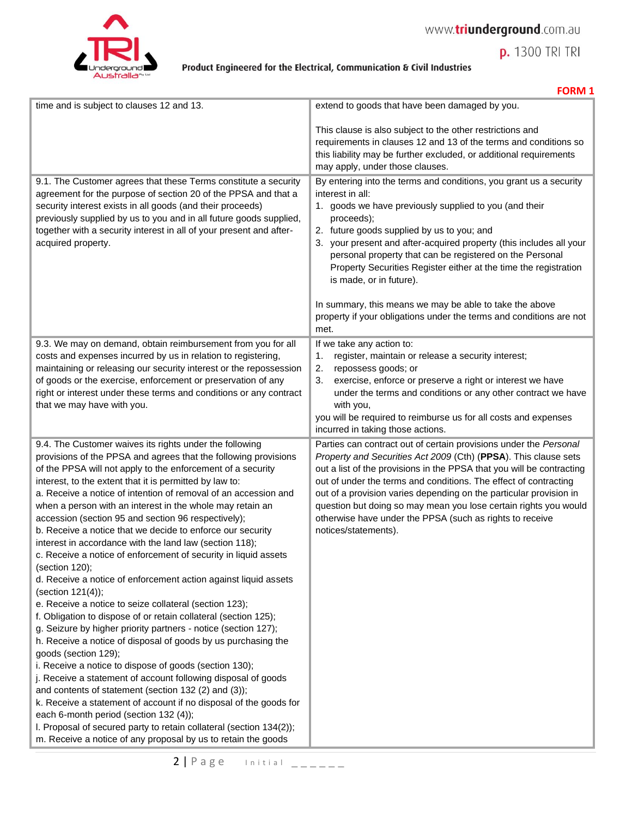



**p.** 1300 TRI TRI

|                                                                                                                                                                                                                                                                                                                                                                                                                                                                                                                                                                                                                                                                                                                                                                                                                                                                                                                                                                                                                                                                                                                                                                                                                                                                                                                                                                                                                                                                                     | <b>FUNIVI</b> J                                                                                                                                                                                                                                                                                                                                                                                                                                                                                                                                                                  |
|-------------------------------------------------------------------------------------------------------------------------------------------------------------------------------------------------------------------------------------------------------------------------------------------------------------------------------------------------------------------------------------------------------------------------------------------------------------------------------------------------------------------------------------------------------------------------------------------------------------------------------------------------------------------------------------------------------------------------------------------------------------------------------------------------------------------------------------------------------------------------------------------------------------------------------------------------------------------------------------------------------------------------------------------------------------------------------------------------------------------------------------------------------------------------------------------------------------------------------------------------------------------------------------------------------------------------------------------------------------------------------------------------------------------------------------------------------------------------------------|----------------------------------------------------------------------------------------------------------------------------------------------------------------------------------------------------------------------------------------------------------------------------------------------------------------------------------------------------------------------------------------------------------------------------------------------------------------------------------------------------------------------------------------------------------------------------------|
| time and is subject to clauses 12 and 13.                                                                                                                                                                                                                                                                                                                                                                                                                                                                                                                                                                                                                                                                                                                                                                                                                                                                                                                                                                                                                                                                                                                                                                                                                                                                                                                                                                                                                                           | extend to goods that have been damaged by you.                                                                                                                                                                                                                                                                                                                                                                                                                                                                                                                                   |
|                                                                                                                                                                                                                                                                                                                                                                                                                                                                                                                                                                                                                                                                                                                                                                                                                                                                                                                                                                                                                                                                                                                                                                                                                                                                                                                                                                                                                                                                                     | This clause is also subject to the other restrictions and<br>requirements in clauses 12 and 13 of the terms and conditions so<br>this liability may be further excluded, or additional requirements<br>may apply, under those clauses.                                                                                                                                                                                                                                                                                                                                           |
| 9.1. The Customer agrees that these Terms constitute a security<br>agreement for the purpose of section 20 of the PPSA and that a<br>security interest exists in all goods (and their proceeds)<br>previously supplied by us to you and in all future goods supplied,<br>together with a security interest in all of your present and after-<br>acquired property.                                                                                                                                                                                                                                                                                                                                                                                                                                                                                                                                                                                                                                                                                                                                                                                                                                                                                                                                                                                                                                                                                                                  | By entering into the terms and conditions, you grant us a security<br>interest in all:<br>1. goods we have previously supplied to you (and their<br>proceeds);<br>2. future goods supplied by us to you; and<br>3. your present and after-acquired property (this includes all your<br>personal property that can be registered on the Personal<br>Property Securities Register either at the time the registration<br>is made, or in future).<br>In summary, this means we may be able to take the above<br>property if your obligations under the terms and conditions are not |
|                                                                                                                                                                                                                                                                                                                                                                                                                                                                                                                                                                                                                                                                                                                                                                                                                                                                                                                                                                                                                                                                                                                                                                                                                                                                                                                                                                                                                                                                                     | met.                                                                                                                                                                                                                                                                                                                                                                                                                                                                                                                                                                             |
| 9.3. We may on demand, obtain reimbursement from you for all                                                                                                                                                                                                                                                                                                                                                                                                                                                                                                                                                                                                                                                                                                                                                                                                                                                                                                                                                                                                                                                                                                                                                                                                                                                                                                                                                                                                                        | If we take any action to:                                                                                                                                                                                                                                                                                                                                                                                                                                                                                                                                                        |
| costs and expenses incurred by us in relation to registering,                                                                                                                                                                                                                                                                                                                                                                                                                                                                                                                                                                                                                                                                                                                                                                                                                                                                                                                                                                                                                                                                                                                                                                                                                                                                                                                                                                                                                       | register, maintain or release a security interest;<br>1.                                                                                                                                                                                                                                                                                                                                                                                                                                                                                                                         |
| maintaining or releasing our security interest or the repossession                                                                                                                                                                                                                                                                                                                                                                                                                                                                                                                                                                                                                                                                                                                                                                                                                                                                                                                                                                                                                                                                                                                                                                                                                                                                                                                                                                                                                  | repossess goods; or<br>2.                                                                                                                                                                                                                                                                                                                                                                                                                                                                                                                                                        |
| of goods or the exercise, enforcement or preservation of any                                                                                                                                                                                                                                                                                                                                                                                                                                                                                                                                                                                                                                                                                                                                                                                                                                                                                                                                                                                                                                                                                                                                                                                                                                                                                                                                                                                                                        | exercise, enforce or preserve a right or interest we have<br>3.                                                                                                                                                                                                                                                                                                                                                                                                                                                                                                                  |
| right or interest under these terms and conditions or any contract                                                                                                                                                                                                                                                                                                                                                                                                                                                                                                                                                                                                                                                                                                                                                                                                                                                                                                                                                                                                                                                                                                                                                                                                                                                                                                                                                                                                                  | under the terms and conditions or any other contract we have                                                                                                                                                                                                                                                                                                                                                                                                                                                                                                                     |
| that we may have with you.                                                                                                                                                                                                                                                                                                                                                                                                                                                                                                                                                                                                                                                                                                                                                                                                                                                                                                                                                                                                                                                                                                                                                                                                                                                                                                                                                                                                                                                          | with you,                                                                                                                                                                                                                                                                                                                                                                                                                                                                                                                                                                        |
|                                                                                                                                                                                                                                                                                                                                                                                                                                                                                                                                                                                                                                                                                                                                                                                                                                                                                                                                                                                                                                                                                                                                                                                                                                                                                                                                                                                                                                                                                     | you will be required to reimburse us for all costs and expenses<br>incurred in taking those actions.                                                                                                                                                                                                                                                                                                                                                                                                                                                                             |
|                                                                                                                                                                                                                                                                                                                                                                                                                                                                                                                                                                                                                                                                                                                                                                                                                                                                                                                                                                                                                                                                                                                                                                                                                                                                                                                                                                                                                                                                                     |                                                                                                                                                                                                                                                                                                                                                                                                                                                                                                                                                                                  |
| 9.4. The Customer waives its rights under the following<br>provisions of the PPSA and agrees that the following provisions<br>of the PPSA will not apply to the enforcement of a security<br>interest, to the extent that it is permitted by law to:<br>a. Receive a notice of intention of removal of an accession and<br>when a person with an interest in the whole may retain an<br>accession (section 95 and section 96 respectively);<br>b. Receive a notice that we decide to enforce our security<br>interest in accordance with the land law (section 118);<br>c. Receive a notice of enforcement of security in liquid assets<br>(section 120);<br>d. Receive a notice of enforcement action against liquid assets<br>(section 121(4));<br>e. Receive a notice to seize collateral (section 123);<br>f. Obligation to dispose of or retain collateral (section 125);<br>g. Seizure by higher priority partners - notice (section 127);<br>h. Receive a notice of disposal of goods by us purchasing the<br>goods (section 129);<br>i. Receive a notice to dispose of goods (section 130);<br>j. Receive a statement of account following disposal of goods<br>and contents of statement (section 132 (2) and (3));<br>k. Receive a statement of account if no disposal of the goods for<br>each 6-month period (section 132 (4));<br>I. Proposal of secured party to retain collateral (section 134(2));<br>m. Receive a notice of any proposal by us to retain the goods | Parties can contract out of certain provisions under the Personal<br>Property and Securities Act 2009 (Cth) (PPSA). This clause sets<br>out a list of the provisions in the PPSA that you will be contracting<br>out of under the terms and conditions. The effect of contracting<br>out of a provision varies depending on the particular provision in<br>question but doing so may mean you lose certain rights you would<br>otherwise have under the PPSA (such as rights to receive<br>notices/statements).                                                                  |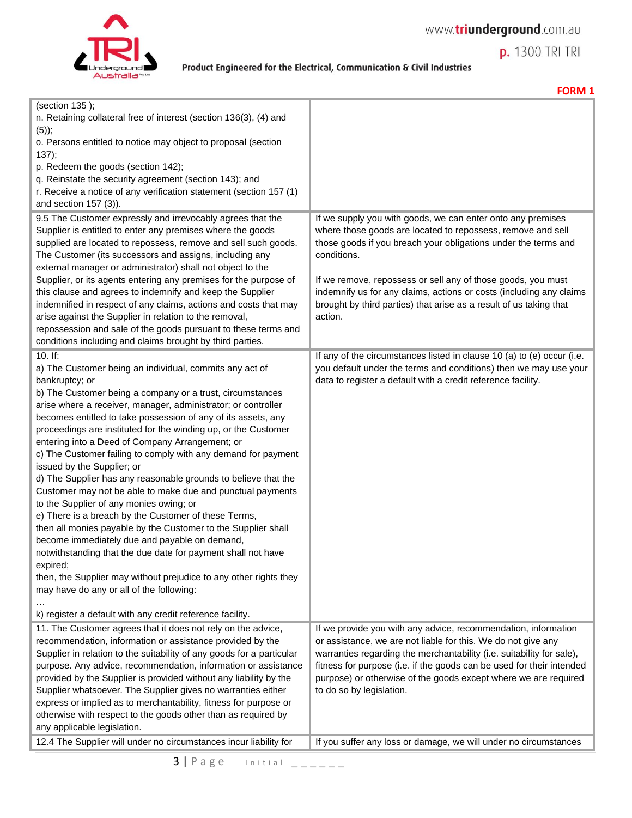

**FORM 1**

**p.** 1300 TRI TRI

| (section 135);<br>n. Retaining collateral free of interest (section 136(3), (4) and<br>$(5)$ ;<br>o. Persons entitled to notice may object to proposal (section<br>137);<br>p. Redeem the goods (section 142);<br>q. Reinstate the security agreement (section 143); and<br>r. Receive a notice of any verification statement (section 157 (1)<br>and section 157 (3)).<br>9.5 The Customer expressly and irrevocably agrees that the<br>Supplier is entitled to enter any premises where the goods<br>supplied are located to repossess, remove and sell such goods.<br>The Customer (its successors and assigns, including any<br>external manager or administrator) shall not object to the<br>Supplier, or its agents entering any premises for the purpose of<br>this clause and agrees to indemnify and keep the Supplier<br>indemnified in respect of any claims, actions and costs that may<br>arise against the Supplier in relation to the removal,<br>repossession and sale of the goods pursuant to these terms and<br>conditions including and claims brought by third parties.<br>$10.$ If:<br>a) The Customer being an individual, commits any act of<br>bankruptcy; or<br>b) The Customer being a company or a trust, circumstances | If we supply you with goods, we can enter onto any premises<br>where those goods are located to repossess, remove and sell<br>those goods if you breach your obligations under the terms and<br>conditions.<br>If we remove, repossess or sell any of those goods, you must<br>indemnify us for any claims, actions or costs (including any claims<br>brought by third parties) that arise as a result of us taking that<br>action.<br>If any of the circumstances listed in clause 10 (a) to (e) occur (i.e.<br>you default under the terms and conditions) then we may use your<br>data to register a default with a credit reference facility. |
|-----------------------------------------------------------------------------------------------------------------------------------------------------------------------------------------------------------------------------------------------------------------------------------------------------------------------------------------------------------------------------------------------------------------------------------------------------------------------------------------------------------------------------------------------------------------------------------------------------------------------------------------------------------------------------------------------------------------------------------------------------------------------------------------------------------------------------------------------------------------------------------------------------------------------------------------------------------------------------------------------------------------------------------------------------------------------------------------------------------------------------------------------------------------------------------------------------------------------------------------------------|---------------------------------------------------------------------------------------------------------------------------------------------------------------------------------------------------------------------------------------------------------------------------------------------------------------------------------------------------------------------------------------------------------------------------------------------------------------------------------------------------------------------------------------------------------------------------------------------------------------------------------------------------|
| arise where a receiver, manager, administrator; or controller<br>becomes entitled to take possession of any of its assets, any<br>proceedings are instituted for the winding up, or the Customer<br>entering into a Deed of Company Arrangement; or<br>c) The Customer failing to comply with any demand for payment<br>issued by the Supplier; or<br>d) The Supplier has any reasonable grounds to believe that the<br>Customer may not be able to make due and punctual payments<br>to the Supplier of any monies owing; or<br>e) There is a breach by the Customer of these Terms,<br>then all monies payable by the Customer to the Supplier shall<br>become immediately due and payable on demand,<br>notwithstanding that the due date for payment shall not have<br>expired;<br>then, the Supplier may without prejudice to any other rights they<br>may have do any or all of the following:<br>k) register a default with any credit reference facility.<br>11. The Customer agrees that it does not rely on the advice,<br>recommendation, information or assistance provided by the                                                                                                                                                      | If we provide you with any advice, recommendation, information<br>or assistance, we are not liable for this. We do not give any                                                                                                                                                                                                                                                                                                                                                                                                                                                                                                                   |
| Supplier in relation to the suitability of any goods for a particular<br>purpose. Any advice, recommendation, information or assistance<br>provided by the Supplier is provided without any liability by the<br>Supplier whatsoever. The Supplier gives no warranties either<br>express or implied as to merchantability, fitness for purpose or<br>otherwise with respect to the goods other than as required by<br>any applicable legislation.<br>12.4 The Supplier will under no circumstances incur liability for                                                                                                                                                                                                                                                                                                                                                                                                                                                                                                                                                                                                                                                                                                                               | warranties regarding the merchantability (i.e. suitability for sale),<br>fitness for purpose (i.e. if the goods can be used for their intended<br>purpose) or otherwise of the goods except where we are required<br>to do so by legislation.<br>If you suffer any loss or damage, we will under no circumstances                                                                                                                                                                                                                                                                                                                                 |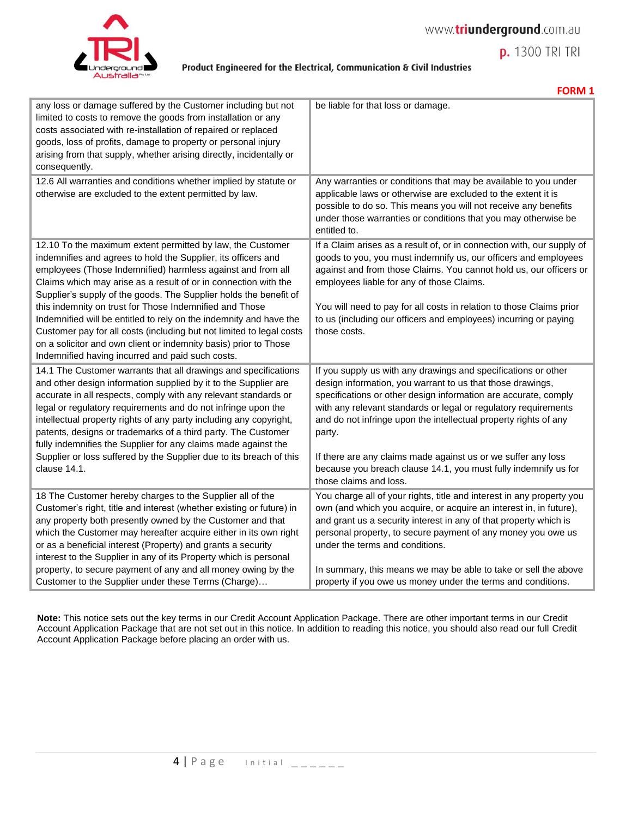

**FORM 1**

**p.** 1300 TRI TRI

| any loss or damage suffered by the Customer including but not<br>limited to costs to remove the goods from installation or any<br>costs associated with re-installation of repaired or replaced<br>goods, loss of profits, damage to property or personal injury<br>arising from that supply, whether arising directly, incidentally or<br>consequently.                                                                                                                                                                                                                                                                                                            | be liable for that loss or damage.                                                                                                                                                                                                                                                                                                                                                                                                                                                                             |
|---------------------------------------------------------------------------------------------------------------------------------------------------------------------------------------------------------------------------------------------------------------------------------------------------------------------------------------------------------------------------------------------------------------------------------------------------------------------------------------------------------------------------------------------------------------------------------------------------------------------------------------------------------------------|----------------------------------------------------------------------------------------------------------------------------------------------------------------------------------------------------------------------------------------------------------------------------------------------------------------------------------------------------------------------------------------------------------------------------------------------------------------------------------------------------------------|
| 12.6 All warranties and conditions whether implied by statute or<br>otherwise are excluded to the extent permitted by law.                                                                                                                                                                                                                                                                                                                                                                                                                                                                                                                                          | Any warranties or conditions that may be available to you under<br>applicable laws or otherwise are excluded to the extent it is<br>possible to do so. This means you will not receive any benefits<br>under those warranties or conditions that you may otherwise be<br>entitled to.                                                                                                                                                                                                                          |
| 12.10 To the maximum extent permitted by law, the Customer<br>indemnifies and agrees to hold the Supplier, its officers and<br>employees (Those Indemnified) harmless against and from all<br>Claims which may arise as a result of or in connection with the<br>Supplier's supply of the goods. The Supplier holds the benefit of<br>this indemnity on trust for Those Indemnified and Those<br>Indemnified will be entitled to rely on the indemnity and have the<br>Customer pay for all costs (including but not limited to legal costs<br>on a solicitor and own client or indemnity basis) prior to Those<br>Indemnified having incurred and paid such costs. | If a Claim arises as a result of, or in connection with, our supply of<br>goods to you, you must indemnify us, our officers and employees<br>against and from those Claims. You cannot hold us, our officers or<br>employees liable for any of those Claims.<br>You will need to pay for all costs in relation to those Claims prior<br>to us (including our officers and employees) incurring or paying<br>those costs.                                                                                       |
| 14.1 The Customer warrants that all drawings and specifications<br>and other design information supplied by it to the Supplier are<br>accurate in all respects, comply with any relevant standards or<br>legal or regulatory requirements and do not infringe upon the<br>intellectual property rights of any party including any copyright,<br>patents, designs or trademarks of a third party. The Customer<br>fully indemnifies the Supplier for any claims made against the<br>Supplier or loss suffered by the Supplier due to its breach of this<br>clause 14.1.                                                                                              | If you supply us with any drawings and specifications or other<br>design information, you warrant to us that those drawings,<br>specifications or other design information are accurate, comply<br>with any relevant standards or legal or regulatory requirements<br>and do not infringe upon the intellectual property rights of any<br>party.<br>If there are any claims made against us or we suffer any loss<br>because you breach clause 14.1, you must fully indemnify us for<br>those claims and loss. |
| 18 The Customer hereby charges to the Supplier all of the<br>Customer's right, title and interest (whether existing or future) in<br>any property both presently owned by the Customer and that<br>which the Customer may hereafter acquire either in its own right<br>or as a beneficial interest (Property) and grants a security<br>interest to the Supplier in any of its Property which is personal<br>property, to secure payment of any and all money owing by the<br>Customer to the Supplier under these Terms (Charge)                                                                                                                                    | You charge all of your rights, title and interest in any property you<br>own (and which you acquire, or acquire an interest in, in future),<br>and grant us a security interest in any of that property which is<br>personal property, to secure payment of any money you owe us<br>under the terms and conditions.<br>In summary, this means we may be able to take or sell the above<br>property if you owe us money under the terms and conditions.                                                         |

**Note:** This notice sets out the key terms in our Credit Account Application Package. There are other important terms in our Credit Account Application Package that are not set out in this notice. In addition to reading this notice, you should also read our full Credit Account Application Package before placing an order with us.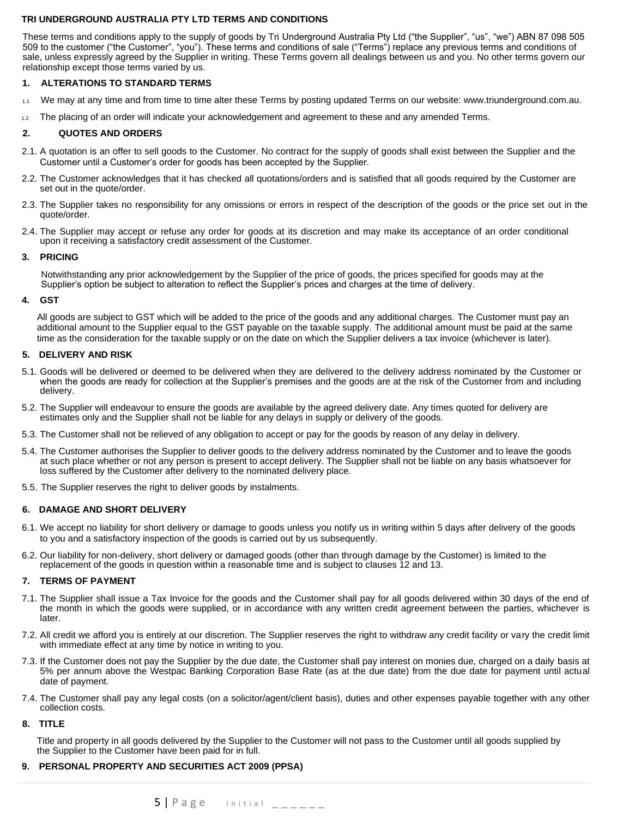## **TRI UNDERGROUND AUSTRALIA PTY LTD TERMS AND CONDITIONS**

These terms and conditions apply to the supply of goods by Tri Underground Australia Pty Ltd ("the Supplier", "us", "we") ABN 87 098 505 509 to the customer ("the Customer", "you"). These terms and conditions of sale ("Terms") replace any previous terms and conditions of sale, unless expressly agreed by the Supplier in writing. These Terms govern all dealings between us and you. No other terms govern our relationship except those terms varied by us.

## **1. ALTERATIONS TO STANDARD TERMS**

- 1.1 We may at any time and from time to time alter these Terms by posting updated Terms on our website: www.triunderground.com.au.
- 1.2 The placing of an order will indicate your acknowledgement and agreement to these and any amended Terms.

### **2. QUOTES AND ORDERS**

- 2.1. A quotation is an offer to sell goods to the Customer. No contract for the supply of goods shall exist between the Supplier and the Customer until a Customer's order for goods has been accepted by the Supplier.
- 2.2. The Customer acknowledges that it has checked all quotations/orders and is satisfied that all goods required by the Customer are set out in the quote/order.
- 2.3. The Supplier takes no responsibility for any omissions or errors in respect of the description of the goods or the price set out in the quote/order.
- 2.4. The Supplier may accept or refuse any order for goods at its discretion and may make its acceptance of an order conditional upon it receiving a satisfactory credit assessment of the Customer.

#### **3. PRICING**

Notwithstanding any prior acknowledgement by the Supplier of the price of goods, the prices specified for goods may at the Supplier's option be subject to alteration to reflect the Supplier's prices and charges at the time of delivery.

#### **4. GST**

All goods are subject to GST which will be added to the price of the goods and any additional charges. The Customer must pay an additional amount to the Supplier equal to the GST payable on the taxable supply. The additional amount must be paid at the same time as the consideration for the taxable supply or on the date on which the Supplier delivers a tax invoice (whichever is later).

### **5. DELIVERY AND RISK**

- 5.1. Goods will be delivered or deemed to be delivered when they are delivered to the delivery address nominated by the Customer or when the goods are ready for collection at the Supplier's premises and the goods are at the risk of the Customer from and including delivery.
- 5.2. The Supplier will endeavour to ensure the goods are available by the agreed delivery date. Any times quoted for delivery are estimates only and the Supplier shall not be liable for any delays in supply or delivery of the goods.
- 5.3. The Customer shall not be relieved of any obligation to accept or pay for the goods by reason of any delay in delivery.
- 5.4. The Customer authorises the Supplier to deliver goods to the delivery address nominated by the Customer and to leave the goods at such place whether or not any person is present to accept delivery. The Supplier shall not be liable on any basis whatsoever for loss suffered by the Customer after delivery to the nominated delivery place.
- 5.5. The Supplier reserves the right to deliver goods by instalments.

## **6. DAMAGE AND SHORT DELIVERY**

- 6.1. We accept no liability for short delivery or damage to goods unless you notify us in writing within 5 days after delivery of the goods to you and a satisfactory inspection of the goods is carried out by us subsequently.
- 6.2. Our liability for non-delivery, short delivery or damaged goods (other than through damage by the Customer) is limited to the replacement of the goods in question within a reasonable time and is subject to clauses 12 and 13.

### **7. TERMS OF PAYMENT**

- 7.1. The Supplier shall issue a Tax Invoice for the goods and the Customer shall pay for all goods delivered within 30 days of the end of the month in which the goods were supplied, or in accordance with any written credit agreement between the parties, whichever is later.
- 7.2. All credit we afford you is entirely at our discretion. The Supplier reserves the right to withdraw any credit facility or vary the credit limit with immediate effect at any time by notice in writing to you.
- 7.3. If the Customer does not pay the Supplier by the due date, the Customer shall pay interest on monies due, charged on a daily basis at 5% per annum above the Westpac Banking Corporation Base Rate (as at the due date) from the due date for payment until actual date of payment.
- 7.4. The Customer shall pay any legal costs (on a solicitor/agent/client basis), duties and other expenses payable together with any other collection costs.

### **8. TITLE**

Title and property in all goods delivered by the Supplier to the Customer will not pass to the Customer until all goods supplied by the Supplier to the Customer have been paid for in full.

## **9. PERSONAL PROPERTY AND SECURITIES ACT 2009 (PPSA)**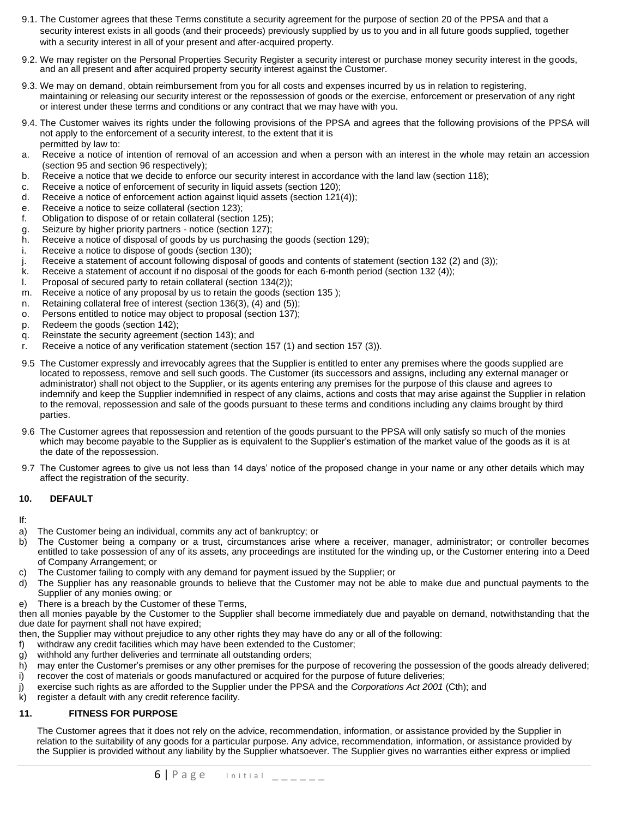- 9.1. The Customer agrees that these Terms constitute a security agreement for the purpose of section 20 of the PPSA and that a security interest exists in all goods (and their proceeds) previously supplied by us to you and in all future goods supplied, together with a security interest in all of your present and after-acquired property.
- 9.2. We may register on the Personal Properties Security Register a security interest or purchase money security interest in the goods, and an all present and after acquired property security interest against the Customer.
- 9.3. We may on demand, obtain reimbursement from you for all costs and expenses incurred by us in relation to registering, maintaining or releasing our security interest or the repossession of goods or the exercise, enforcement or preservation of any right or interest under these terms and conditions or any contract that we may have with you.
- 9.4. The Customer waives its rights under the following provisions of the PPSA and agrees that the following provisions of the PPSA will not apply to the enforcement of a security interest, to the extent that it is permitted by law to:
- a. Receive a notice of intention of removal of an accession and when a person with an interest in the whole may retain an accession (section 95 and section 96 respectively);
- b. Receive a notice that we decide to enforce our security interest in accordance with the land law (section 118);
- c. Receive a notice of enforcement of security in liquid assets (section 120);
- d. Receive a notice of enforcement action against liquid assets (section 121(4));
- e. Receive a notice to seize collateral (section 123);
- f. Obligation to dispose of or retain collateral (section 125);
- g. Seizure by higher priority partners notice (section 127);
- h. Receive a notice of disposal of goods by us purchasing the goods (section 129);
- i. Receive a notice to dispose of goods (section 130);
- j. Receive a statement of account following disposal of goods and contents of statement (section 132 (2) and (3));
- k. Receive a statement of account if no disposal of the goods for each 6-month period (section 132 (4));
- l. Proposal of secured party to retain collateral (section 134(2));
- m. Receive a notice of any proposal by us to retain the goods (section 135 );
- n. Retaining collateral free of interest (section 136(3), (4) and (5));
- o. Persons entitled to notice may object to proposal (section 137);
- p. Redeem the goods (section 142);
- q. Reinstate the security agreement (section 143); and
- r. Receive a notice of any verification statement (section 157 (1) and section 157 (3)).
- 9.5 The Customer expressly and irrevocably agrees that the Supplier is entitled to enter any premises where the goods supplied are located to repossess, remove and sell such goods. The Customer (its successors and assigns, including any external manager or administrator) shall not object to the Supplier, or its agents entering any premises for the purpose of this clause and agrees to indemnify and keep the Supplier indemnified in respect of any claims, actions and costs that may arise against the Supplier in relation to the removal, repossession and sale of the goods pursuant to these terms and conditions including any claims brought by third parties.
- 9.6 The Customer agrees that repossession and retention of the goods pursuant to the PPSA will only satisfy so much of the monies which may become payable to the Supplier as is equivalent to the Supplier's estimation of the market value of the goods as it is at the date of the repossession.
- 9.7 The Customer agrees to give us not less than 14 days' notice of the proposed change in your name or any other details which may affect the registration of the security.

## **10. DEFAULT**

## If:

- a) The Customer being an individual, commits any act of bankruptcy; or
- b) The Customer being a company or a trust, circumstances arise where a receiver, manager, administrator; or controller becomes entitled to take possession of any of its assets, any proceedings are instituted for the winding up, or the Customer entering into a Deed of Company Arrangement; or
- c) The Customer failing to comply with any demand for payment issued by the Supplier; or
- d) The Supplier has any reasonable grounds to believe that the Customer may not be able to make due and punctual payments to the Supplier of any monies owing; or
- e) There is a breach by the Customer of these Terms,

then all monies payable by the Customer to the Supplier shall become immediately due and payable on demand, notwithstanding that the due date for payment shall not have expired;

- then, the Supplier may without prejudice to any other rights they may have do any or all of the following:
- f) withdraw any credit facilities which may have been extended to the Customer;
- g) withhold any further deliveries and terminate all outstanding orders;
- h) may enter the Customer's premises or any other premises for the purpose of recovering the possession of the goods already delivered;
- i) recover the cost of materials or goods manufactured or acquired for the purpose of future deliveries;
- j) exercise such rights as are afforded to the Supplier under the PPSA and the *Corporations Act 2001* (Cth); and
- k) register a default with any credit reference facility.

## **11. FITNESS FOR PURPOSE**

The Customer agrees that it does not rely on the advice, recommendation, information, or assistance provided by the Supplier in relation to the suitability of any goods for a particular purpose. Any advice, recommendation, information, or assistance provided by the Supplier is provided without any liability by the Supplier whatsoever. The Supplier gives no warranties either express or implied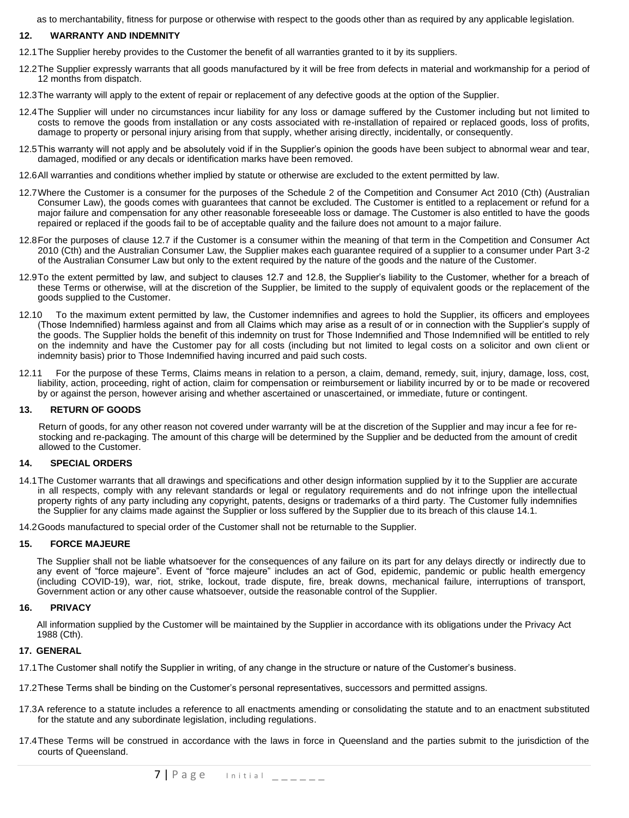as to merchantability, fitness for purpose or otherwise with respect to the goods other than as required by any applicable legislation.

## **12. WARRANTY AND INDEMNITY**

- 12.1The Supplier hereby provides to the Customer the benefit of all warranties granted to it by its suppliers.
- 12.2The Supplier expressly warrants that all goods manufactured by it will be free from defects in material and workmanship for a period of 12 months from dispatch.
- 12.3The warranty will apply to the extent of repair or replacement of any defective goods at the option of the Supplier.
- 12.4The Supplier will under no circumstances incur liability for any loss or damage suffered by the Customer including but not limited to costs to remove the goods from installation or any costs associated with re-installation of repaired or replaced goods, loss of profits, damage to property or personal injury arising from that supply, whether arising directly, incidentally, or consequently.
- 12.5This warranty will not apply and be absolutely void if in the Supplier's opinion the goods have been subject to abnormal wear and tear, damaged, modified or any decals or identification marks have been removed.
- 12.6All warranties and conditions whether implied by statute or otherwise are excluded to the extent permitted by law.
- 12.7Where the Customer is a consumer for the purposes of the Schedule 2 of the Competition and Consumer Act 2010 (Cth) (Australian Consumer Law), the goods comes with guarantees that cannot be excluded. The Customer is entitled to a replacement or refund for a major failure and compensation for any other reasonable foreseeable loss or damage. The Customer is also entitled to have the goods repaired or replaced if the goods fail to be of acceptable quality and the failure does not amount to a major failure.
- 12.8For the purposes of clause 12.7 if the Customer is a consumer within the meaning of that term in the Competition and Consumer Act 2010 (Cth) and the Australian Consumer Law, the Supplier makes each guarantee required of a supplier to a consumer under Part 3-2 of the Australian Consumer Law but only to the extent required by the nature of the goods and the nature of the Customer.
- 12.9To the extent permitted by law, and subject to clauses 12.7 and 12.8, the Supplier's liability to the Customer, whether for a breach of these Terms or otherwise, will at the discretion of the Supplier, be limited to the supply of equivalent goods or the replacement of the goods supplied to the Customer.
- 12.10 To the maximum extent permitted by law, the Customer indemnifies and agrees to hold the Supplier, its officers and employees (Those Indemnified) harmless against and from all Claims which may arise as a result of or in connection with the Supplier's supply of the goods. The Supplier holds the benefit of this indemnity on trust for Those Indemnified and Those Indemnified will be entitled to rely on the indemnity and have the Customer pay for all costs (including but not limited to legal costs on a solicitor and own client or indemnity basis) prior to Those Indemnified having incurred and paid such costs.
- 12.11 For the purpose of these Terms, Claims means in relation to a person, a claim, demand, remedy, suit, injury, damage, loss, cost, liability, action, proceeding, right of action, claim for compensation or reimbursement or liability incurred by or to be made or recovered by or against the person, however arising and whether ascertained or unascertained, or immediate, future or contingent.

### **13. RETURN OF GOODS**

Return of goods, for any other reason not covered under warranty will be at the discretion of the Supplier and may incur a fee for restocking and re-packaging. The amount of this charge will be determined by the Supplier and be deducted from the amount of credit allowed to the Customer.

### **14. SPECIAL ORDERS**

- 14.1The Customer warrants that all drawings and specifications and other design information supplied by it to the Supplier are accurate in all respects, comply with any relevant standards or legal or regulatory requirements and do not infringe upon the intellectual property rights of any party including any copyright, patents, designs or trademarks of a third party. The Customer fully indemnifies the Supplier for any claims made against the Supplier or loss suffered by the Supplier due to its breach of this clause 14.1.
- 14.2Goods manufactured to special order of the Customer shall not be returnable to the Supplier.

#### **15. FORCE MAJEURE**

The Supplier shall not be liable whatsoever for the consequences of any failure on its part for any delays directly or indirectly due to any event of "force majeure". Event of "force majeure" includes an act of God, epidemic, pandemic or public health emergency (including COVID-19), war, riot, strike, lockout, trade dispute, fire, break downs, mechanical failure, interruptions of transport, Government action or any other cause whatsoever, outside the reasonable control of the Supplier.

#### **16. PRIVACY**

All information supplied by the Customer will be maintained by the Supplier in accordance with its obligations under the Privacy Act 1988 (Cth).

#### **17. GENERAL**

- 17.1The Customer shall notify the Supplier in writing, of any change in the structure or nature of the Customer's business.
- 17.2These Terms shall be binding on the Customer's personal representatives, successors and permitted assigns.
- 17.3A reference to a statute includes a reference to all enactments amending or consolidating the statute and to an enactment substituted for the statute and any subordinate legislation, including regulations.
- 17.4These Terms will be construed in accordance with the laws in force in Queensland and the parties submit to the jurisdiction of the courts of Queensland.